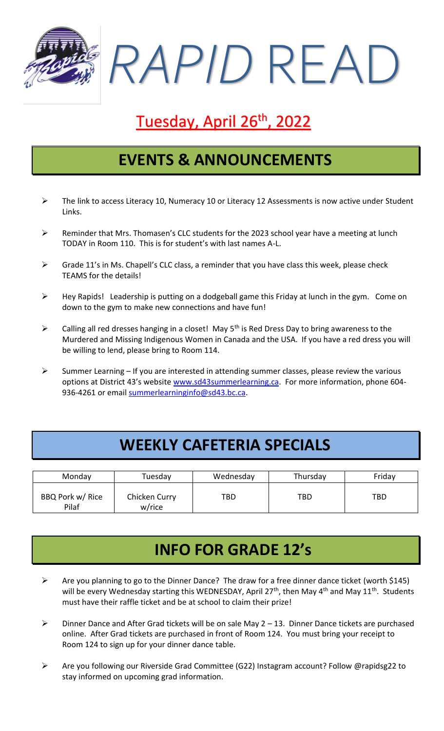*RAPID* READ

# Tuesday, April 26<sup>th</sup>, 2022

#### **EVENTS & ANNOUNCEMENTS**

- $\triangleright$  The link to access Literacy 10, Numeracy 10 or Literacy 12 Assessments is now active under Student Links.
- ➢ Reminder that Mrs. Thomasen's CLC students for the 2023 school year have a meeting at lunch TODAY in Room 110. This is for student's with last names A-L.
- $\triangleright$  Grade 11's in Ms. Chapell's CLC class, a reminder that you have class this week, please check TEAMS for the details!
- ➢ Hey Rapids! Leadership is putting on a dodgeball game this Friday at lunch in the gym. Come on down to the gym to make new connections and have fun!
- $\triangleright$  Calling all red dresses hanging in a closet! May 5<sup>th</sup> is Red Dress Day to bring awareness to the Murdered and Missing Indigenous Women in Canada and the USA. If you have a red dress you will be willing to lend, please bring to Room 114.
- $\triangleright$  Summer Learning If you are interested in attending summer classes, please review the various options at District 43's website [www.sd43summerlearning.ca.](http://www.sd43summerlearning.ca/) For more information, phone 604936-4261 or email [summerlearninginfo@sd43.bc.ca.](mailto:summerlearninginfo@sd43.bc.ca)

#### **WEEKLY CAFETERIA SPECIALS**

| Monday                    | Tuesday                 | Wednesday | Thursday | Friday     |
|---------------------------|-------------------------|-----------|----------|------------|
| BBQ Pork w/ Rice<br>Pilaf | Chicken Curry<br>w/rice | TBD       | TBD      | <b>TBD</b> |

#### **INFO FOR GRADE 12's**

- ➢ Are you planning to go to the Dinner Dance? The draw for a free dinner dance ticket (worth \$145) will be every Wednesday starting this WEDNESDAY, April 27<sup>th</sup>, then May 4<sup>th</sup> and May 11<sup>th</sup>. Students must have their raffle ticket and be at school to claim their prize!
- ➢ Dinner Dance and After Grad tickets will be on sale May 2 13. Dinner Dance tickets are purchased online. After Grad tickets are purchased in front of Room 124. You must bring your receipt to Room 124 to sign up for your dinner dance table.
- ➢ Are you following our Riverside Grad Committee (G22) Instagram account? Follow @rapidsg22 to stay informed on upcoming grad information.